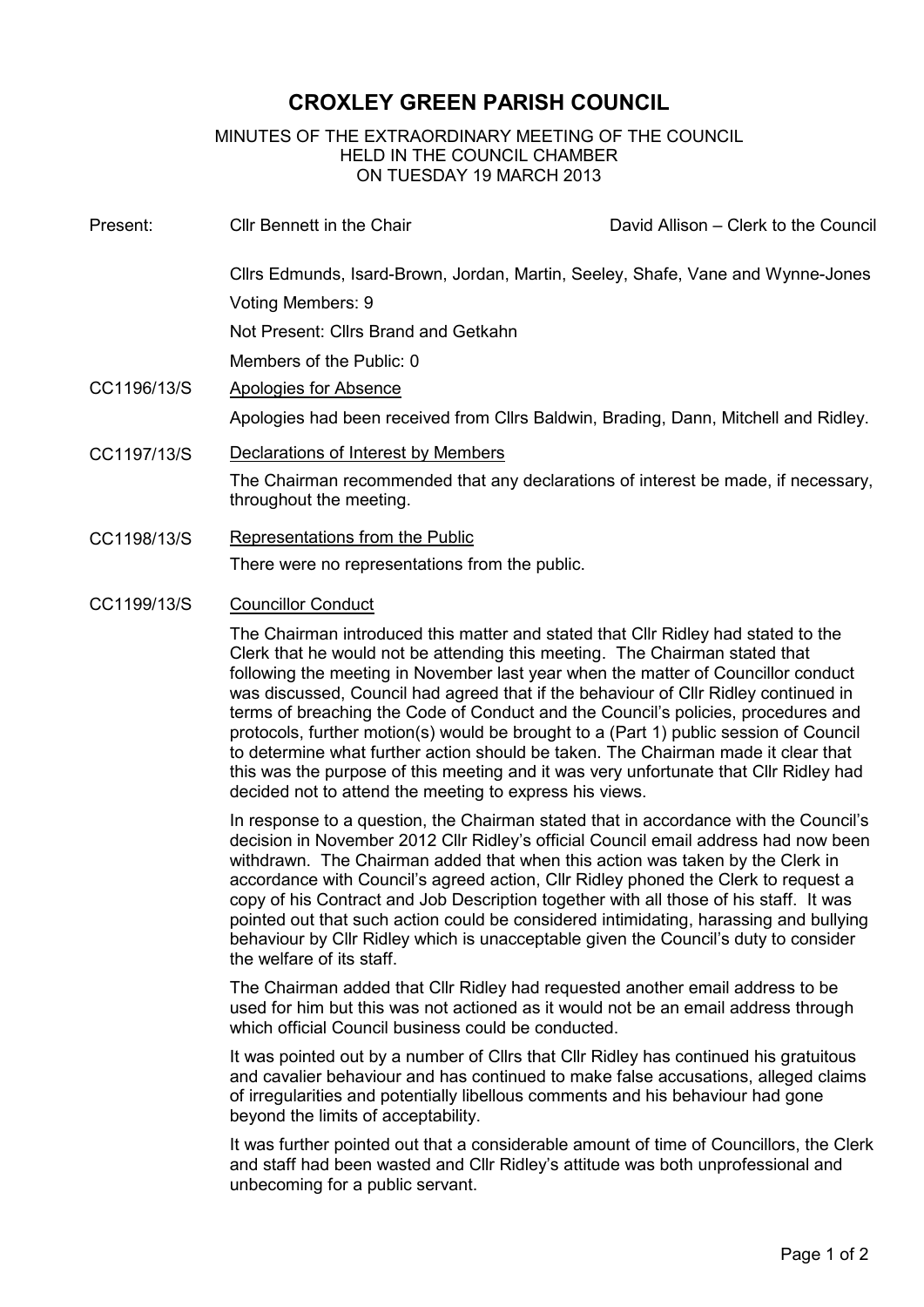# **CROXLEY GREEN PARISH COUNCIL**

## MINUTES OF THE EXTRAORDINARY MEETING OF THE COUNCIL HELD IN THE COUNCIL CHAMBER ON TUESDAY 19 MARCH 2013

| Present:    | <b>Cllr Bennett in the Chair</b>                                                                             | David Allison – Clerk to the Council                                            |  |
|-------------|--------------------------------------------------------------------------------------------------------------|---------------------------------------------------------------------------------|--|
|             |                                                                                                              | Cllrs Edmunds, Isard-Brown, Jordan, Martin, Seeley, Shafe, Vane and Wynne-Jones |  |
|             | Voting Members: 9                                                                                            |                                                                                 |  |
|             | Not Present: Cllrs Brand and Getkahn                                                                         |                                                                                 |  |
|             | Members of the Public: 0                                                                                     |                                                                                 |  |
| CC1196/13/S | Apologies for Absence                                                                                        |                                                                                 |  |
|             | Apologies had been received from Cllrs Baldwin, Brading, Dann, Mitchell and Ridley.                          |                                                                                 |  |
| CC1197/13/S | Declarations of Interest by Members                                                                          |                                                                                 |  |
|             | The Chairman recommended that any declarations of interest be made, if necessary,<br>throughout the meeting. |                                                                                 |  |
| CC1198/13/S | Representations from the Public                                                                              |                                                                                 |  |

There were no representations from the public.

CC1199/13/S Councillor Conduct

The Chairman introduced this matter and stated that Cllr Ridley had stated to the Clerk that he would not be attending this meeting. The Chairman stated that following the meeting in November last year when the matter of Councillor conduct was discussed, Council had agreed that if the behaviour of Cllr Ridley continued in terms of breaching the Code of Conduct and the Council's policies, procedures and protocols, further motion(s) would be brought to a (Part 1) public session of Council to determine what further action should be taken. The Chairman made it clear that this was the purpose of this meeting and it was very unfortunate that Cllr Ridley had decided not to attend the meeting to express his views.

In response to a question, the Chairman stated that in accordance with the Council's decision in November 2012 Cllr Ridley's official Council email address had now been withdrawn. The Chairman added that when this action was taken by the Clerk in accordance with Council's agreed action, Cllr Ridley phoned the Clerk to request a copy of his Contract and Job Description together with all those of his staff. It was pointed out that such action could be considered intimidating, harassing and bullying behaviour by Cllr Ridley which is unacceptable given the Council's duty to consider the welfare of its staff.

The Chairman added that Cllr Ridley had requested another email address to be used for him but this was not actioned as it would not be an email address through which official Council business could be conducted.

It was pointed out by a number of Cllrs that Cllr Ridley has continued his gratuitous and cavalier behaviour and has continued to make false accusations, alleged claims of irregularities and potentially libellous comments and his behaviour had gone beyond the limits of acceptability.

It was further pointed out that a considerable amount of time of Councillors, the Clerk and staff had been wasted and Cllr Ridley's attitude was both unprofessional and unbecoming for a public servant.